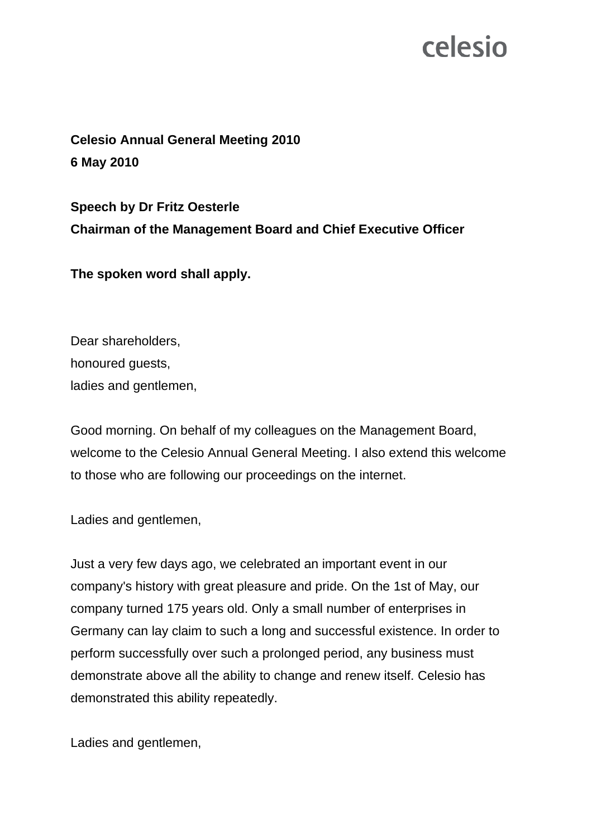**Celesio Annual General Meeting 2010 6 May 2010** 

**Speech by Dr Fritz Oesterle Chairman of the Management Board and Chief Executive Officer** 

**The spoken word shall apply.** 

Dear shareholders, honoured guests, ladies and gentlemen,

Good morning. On behalf of my colleagues on the Management Board, welcome to the Celesio Annual General Meeting. I also extend this welcome to those who are following our proceedings on the internet.

Ladies and gentlemen,

Just a very few days ago, we celebrated an important event in our company's history with great pleasure and pride. On the 1st of May, our company turned 175 years old. Only a small number of enterprises in Germany can lay claim to such a long and successful existence. In order to perform successfully over such a prolonged period, any business must demonstrate above all the ability to change and renew itself. Celesio has demonstrated this ability repeatedly.

Ladies and gentlemen,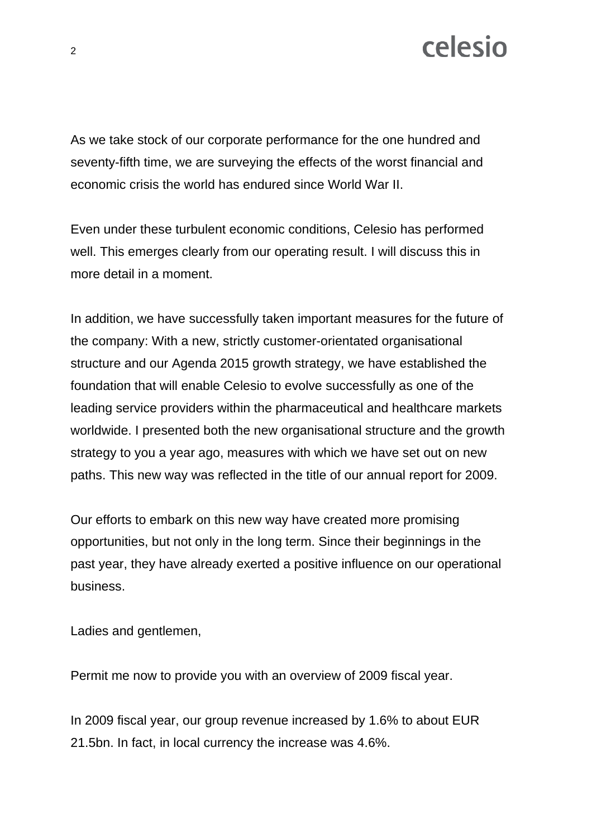As we take stock of our corporate performance for the one hundred and seventy-fifth time, we are surveying the effects of the worst financial and economic crisis the world has endured since World War II.

Even under these turbulent economic conditions, Celesio has performed well. This emerges clearly from our operating result. I will discuss this in more detail in a moment.

In addition, we have successfully taken important measures for the future of the company: With a new, strictly customer-orientated organisational structure and our Agenda 2015 growth strategy, we have established the foundation that will enable Celesio to evolve successfully as one of the leading service providers within the pharmaceutical and healthcare markets worldwide. I presented both the new organisational structure and the growth strategy to you a year ago, measures with which we have set out on new paths. This new way was reflected in the title of our annual report for 2009.

Our efforts to embark on this new way have created more promising opportunities, but not only in the long term. Since their beginnings in the past year, they have already exerted a positive influence on our operational business.

Ladies and gentlemen,

Permit me now to provide you with an overview of 2009 fiscal year.

In 2009 fiscal year, our group revenue increased by 1.6% to about EUR 21.5bn. In fact, in local currency the increase was 4.6%.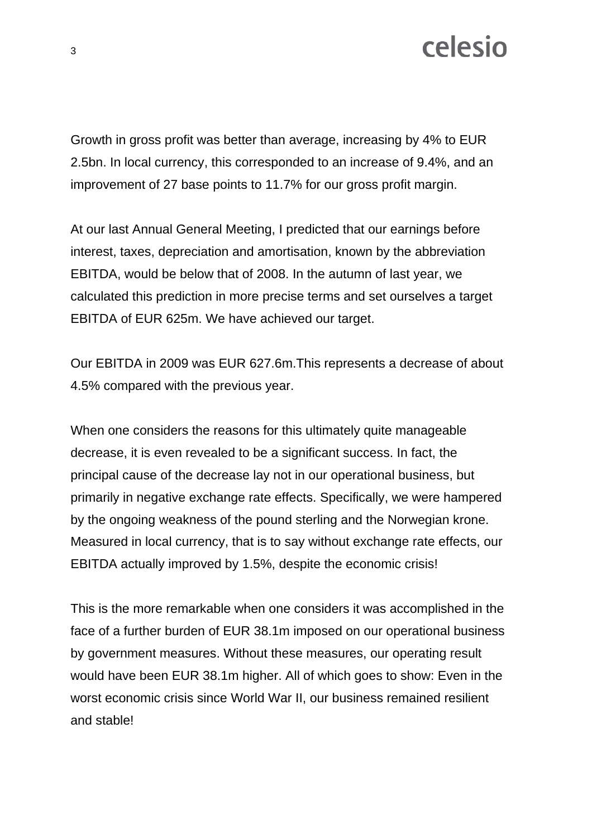Growth in gross profit was better than average, increasing by 4% to EUR 2.5bn. In local currency, this corresponded to an increase of 9.4%, and an improvement of 27 base points to 11.7% for our gross profit margin.

At our last Annual General Meeting, I predicted that our earnings before interest, taxes, depreciation and amortisation, known by the abbreviation EBITDA, would be below that of 2008. In the autumn of last year, we calculated this prediction in more precise terms and set ourselves a target EBITDA of EUR 625m. We have achieved our target.

Our EBITDA in 2009 was EUR 627.6m.This represents a decrease of about 4.5% compared with the previous year.

When one considers the reasons for this ultimately quite manageable decrease, it is even revealed to be a significant success. In fact, the principal cause of the decrease lay not in our operational business, but primarily in negative exchange rate effects. Specifically, we were hampered by the ongoing weakness of the pound sterling and the Norwegian krone. Measured in local currency, that is to say without exchange rate effects, our EBITDA actually improved by 1.5%, despite the economic crisis!

This is the more remarkable when one considers it was accomplished in the face of a further burden of EUR 38.1m imposed on our operational business by government measures. Without these measures, our operating result would have been EUR 38.1m higher. All of which goes to show: Even in the worst economic crisis since World War II, our business remained resilient and stable!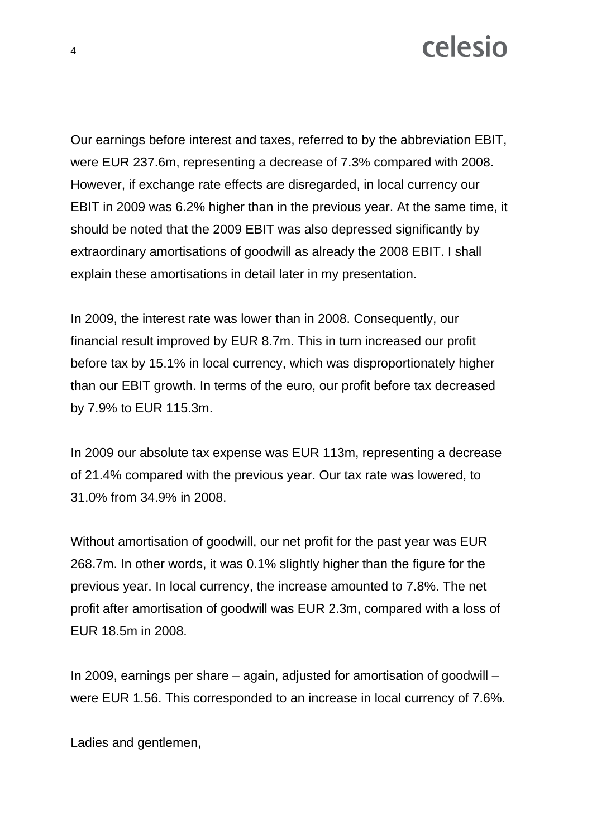Our earnings before interest and taxes, referred to by the abbreviation EBIT, were EUR 237.6m, representing a decrease of 7.3% compared with 2008. However, if exchange rate effects are disregarded, in local currency our EBIT in 2009 was 6.2% higher than in the previous year. At the same time, it should be noted that the 2009 EBIT was also depressed significantly by extraordinary amortisations of goodwill as already the 2008 EBIT. I shall explain these amortisations in detail later in my presentation.

In 2009, the interest rate was lower than in 2008. Consequently, our financial result improved by EUR 8.7m. This in turn increased our profit before tax by 15.1% in local currency, which was disproportionately higher than our EBIT growth. In terms of the euro, our profit before tax decreased by 7.9% to EUR 115.3m.

In 2009 our absolute tax expense was EUR 113m, representing a decrease of 21.4% compared with the previous year. Our tax rate was lowered, to 31.0% from 34.9% in 2008.

Without amortisation of goodwill, our net profit for the past year was EUR 268.7m. In other words, it was 0.1% slightly higher than the figure for the previous year. In local currency, the increase amounted to 7.8%. The net profit after amortisation of goodwill was EUR 2.3m, compared with a loss of EUR 18.5m in 2008.

In 2009, earnings per share – again, adjusted for amortisation of goodwill – were EUR 1.56. This corresponded to an increase in local currency of 7.6%.

Ladies and gentlemen,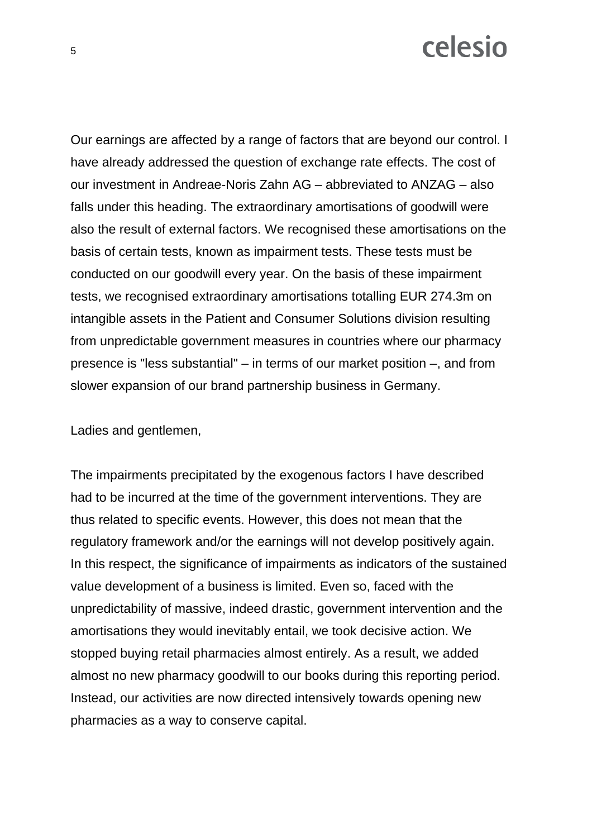Our earnings are affected by a range of factors that are beyond our control. I have already addressed the question of exchange rate effects. The cost of our investment in Andreae-Noris Zahn AG – abbreviated to ANZAG – also falls under this heading. The extraordinary amortisations of goodwill were also the result of external factors. We recognised these amortisations on the basis of certain tests, known as impairment tests. These tests must be conducted on our goodwill every year. On the basis of these impairment tests, we recognised extraordinary amortisations totalling EUR 274.3m on intangible assets in the Patient and Consumer Solutions division resulting from unpredictable government measures in countries where our pharmacy presence is "less substantial" – in terms of our market position –, and from slower expansion of our brand partnership business in Germany.

Ladies and gentlemen,

The impairments precipitated by the exogenous factors I have described had to be incurred at the time of the government interventions. They are thus related to specific events. However, this does not mean that the regulatory framework and/or the earnings will not develop positively again. In this respect, the significance of impairments as indicators of the sustained value development of a business is limited. Even so, faced with the unpredictability of massive, indeed drastic, government intervention and the amortisations they would inevitably entail, we took decisive action. We stopped buying retail pharmacies almost entirely. As a result, we added almost no new pharmacy goodwill to our books during this reporting period. Instead, our activities are now directed intensively towards opening new pharmacies as a way to conserve capital.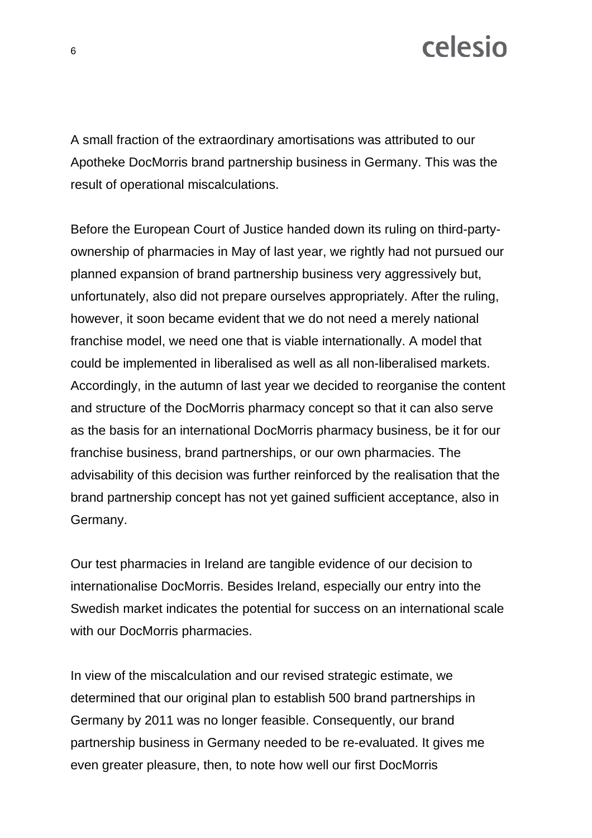A small fraction of the extraordinary amortisations was attributed to our Apotheke DocMorris brand partnership business in Germany. This was the result of operational miscalculations.

Before the European Court of Justice handed down its ruling on third-partyownership of pharmacies in May of last year, we rightly had not pursued our planned expansion of brand partnership business very aggressively but, unfortunately, also did not prepare ourselves appropriately. After the ruling, however, it soon became evident that we do not need a merely national franchise model, we need one that is viable internationally. A model that could be implemented in liberalised as well as all non-liberalised markets. Accordingly, in the autumn of last year we decided to reorganise the content and structure of the DocMorris pharmacy concept so that it can also serve as the basis for an international DocMorris pharmacy business, be it for our franchise business, brand partnerships, or our own pharmacies. The advisability of this decision was further reinforced by the realisation that the brand partnership concept has not yet gained sufficient acceptance, also in Germany.

Our test pharmacies in Ireland are tangible evidence of our decision to internationalise DocMorris. Besides Ireland, especially our entry into the Swedish market indicates the potential for success on an international scale with our DocMorris pharmacies.

In view of the miscalculation and our revised strategic estimate, we determined that our original plan to establish 500 brand partnerships in Germany by 2011 was no longer feasible. Consequently, our brand partnership business in Germany needed to be re-evaluated. It gives me even greater pleasure, then, to note how well our first DocMorris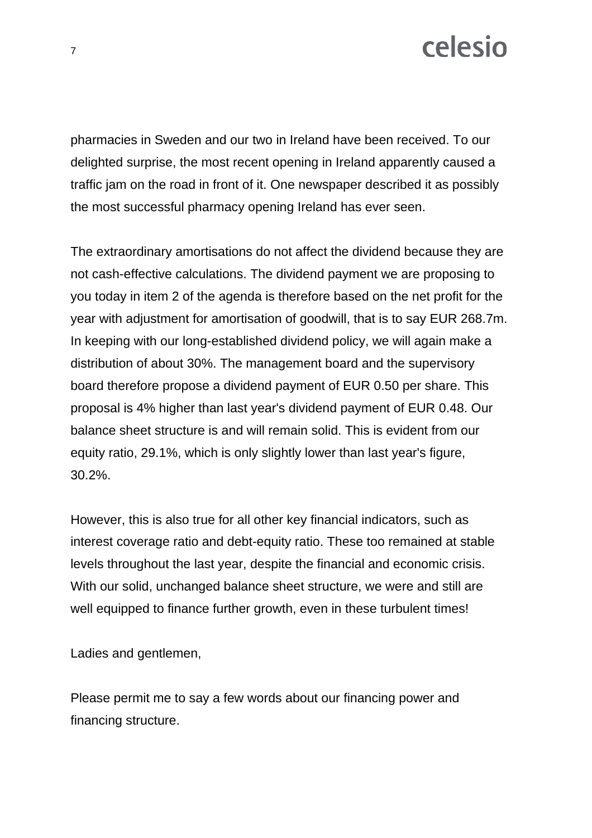pharmacies in Sweden and our two in Ireland have been received. To our delighted surprise, the most recent opening in Ireland apparently caused a traffic jam on the road in front of it. One newspaper described it as possibly the most successful pharmacy opening Ireland has ever seen.

The extraordinary amortisations do not affect the dividend because they are not cash-effective calculations. The dividend payment we are proposing to you today in item 2 of the agenda is therefore based on the net profit for the year with adjustment for amortisation of goodwill, that is to say EUR 268.7m. In keeping with our long-established dividend policy, we will again make a distribution of about 30%. The management board and the supervisory board therefore propose a dividend payment of EUR 0.50 per share. This proposal is 4% higher than last year's dividend payment of EUR 0.48. Our balance sheet structure is and will remain solid. This is evident from our equity ratio, 29.1%, which is only slightly lower than last year's figure, 30.2%.

However, this is also true for all other key financial indicators, such as interest coverage ratio and debt-equity ratio. These too remained at stable levels throughout the last year, despite the financial and economic crisis. With our solid, unchanged balance sheet structure, we were and still are well equipped to finance further growth, even in these turbulent times!

Ladies and gentlemen,

Please permit me to say a few words about our financing power and financing structure.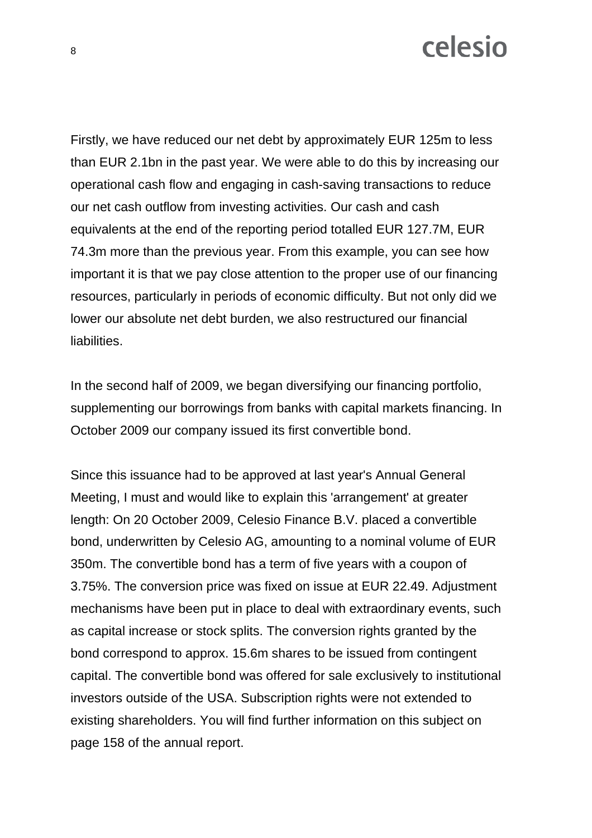Firstly, we have reduced our net debt by approximately EUR 125m to less than EUR 2.1bn in the past year. We were able to do this by increasing our operational cash flow and engaging in cash-saving transactions to reduce our net cash outflow from investing activities. Our cash and cash equivalents at the end of the reporting period totalled EUR 127.7M, EUR 74.3m more than the previous year. From this example, you can see how important it is that we pay close attention to the proper use of our financing resources, particularly in periods of economic difficulty. But not only did we lower our absolute net debt burden, we also restructured our financial liabilities.

In the second half of 2009, we began diversifying our financing portfolio, supplementing our borrowings from banks with capital markets financing. In October 2009 our company issued its first convertible bond.

Since this issuance had to be approved at last year's Annual General Meeting. I must and would like to explain this 'arrangement' at greater length: On 20 October 2009, Celesio Finance B.V. placed a convertible bond, underwritten by Celesio AG, amounting to a nominal volume of EUR 350m. The convertible bond has a term of five years with a coupon of 3.75%. The conversion price was fixed on issue at EUR 22.49. Adjustment mechanisms have been put in place to deal with extraordinary events, such as capital increase or stock splits. The conversion rights granted by the bond correspond to approx. 15.6m shares to be issued from contingent capital. The convertible bond was offered for sale exclusively to institutional investors outside of the USA. Subscription rights were not extended to existing shareholders. You will find further information on this subject on page 158 of the annual report.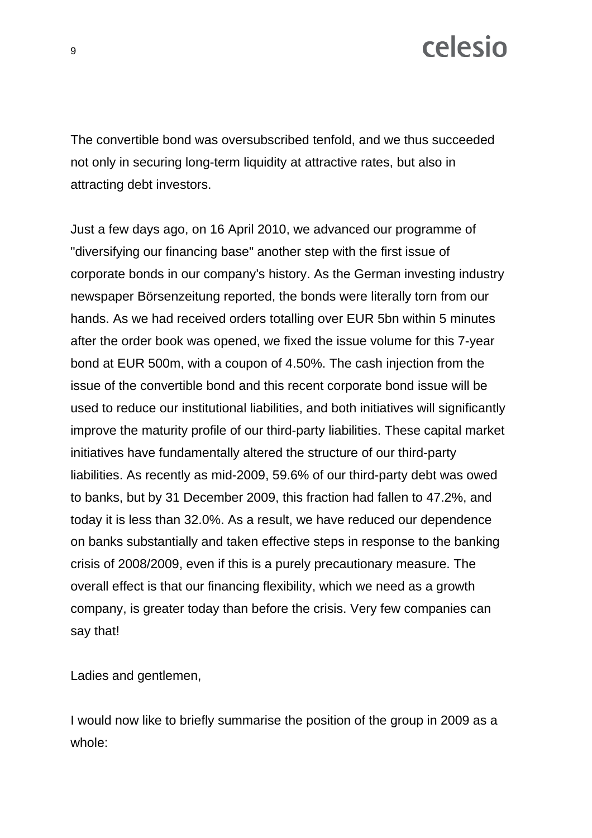The convertible bond was oversubscribed tenfold, and we thus succeeded not only in securing long-term liquidity at attractive rates, but also in attracting debt investors.

Just a few days ago, on 16 April 2010, we advanced our programme of "diversifying our financing base" another step with the first issue of corporate bonds in our company's history. As the German investing industry newspaper Börsenzeitung reported, the bonds were literally torn from our hands. As we had received orders totalling over EUR 5bn within 5 minutes after the order book was opened, we fixed the issue volume for this 7-year bond at EUR 500m, with a coupon of 4.50%. The cash injection from the issue of the convertible bond and this recent corporate bond issue will be used to reduce our institutional liabilities, and both initiatives will significantly improve the maturity profile of our third-party liabilities. These capital market initiatives have fundamentally altered the structure of our third-party liabilities. As recently as mid-2009, 59.6% of our third-party debt was owed to banks, but by 31 December 2009, this fraction had fallen to 47.2%, and today it is less than 32.0%. As a result, we have reduced our dependence on banks substantially and taken effective steps in response to the banking crisis of 2008/2009, even if this is a purely precautionary measure. The overall effect is that our financing flexibility, which we need as a growth company, is greater today than before the crisis. Very few companies can say that!

Ladies and gentlemen,

I would now like to briefly summarise the position of the group in 2009 as a whole: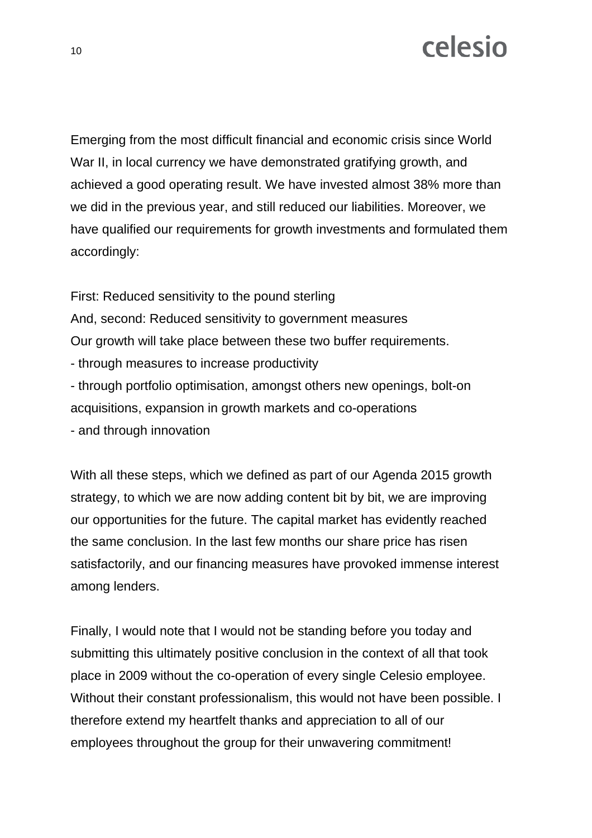Emerging from the most difficult financial and economic crisis since World War II, in local currency we have demonstrated gratifying growth, and achieved a good operating result. We have invested almost 38% more than we did in the previous year, and still reduced our liabilities. Moreover, we have qualified our requirements for growth investments and formulated them accordingly:

First: Reduced sensitivity to the pound sterling And, second: Reduced sensitivity to government measures Our growth will take place between these two buffer requirements. - through measures to increase productivity - through portfolio optimisation, amongst others new openings, bolt-on acquisitions, expansion in growth markets and co-operations - and through innovation

With all these steps, which we defined as part of our Agenda 2015 growth strategy, to which we are now adding content bit by bit, we are improving our opportunities for the future. The capital market has evidently reached the same conclusion. In the last few months our share price has risen satisfactorily, and our financing measures have provoked immense interest among lenders.

Finally, I would note that I would not be standing before you today and submitting this ultimately positive conclusion in the context of all that took place in 2009 without the co-operation of every single Celesio employee. Without their constant professionalism, this would not have been possible. I therefore extend my heartfelt thanks and appreciation to all of our employees throughout the group for their unwavering commitment!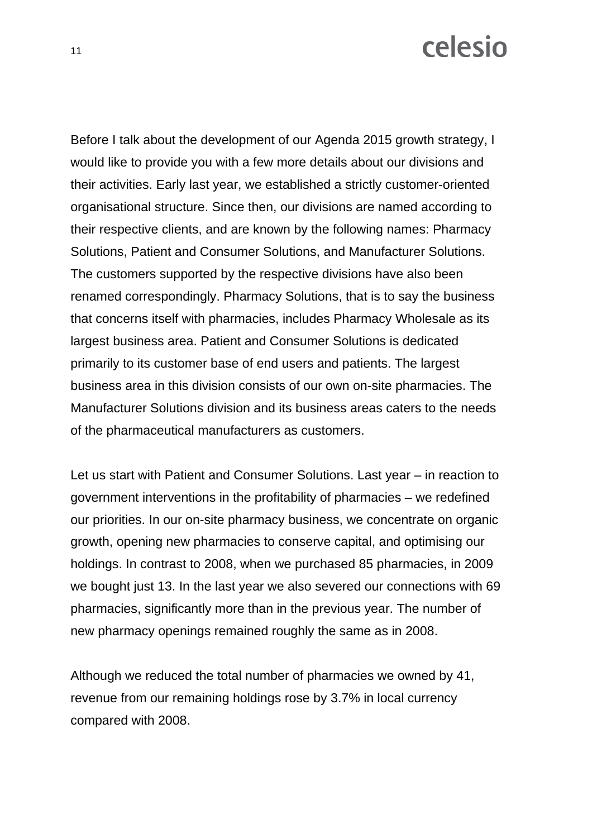Before I talk about the development of our Agenda 2015 growth strategy, I would like to provide you with a few more details about our divisions and their activities. Early last year, we established a strictly customer-oriented organisational structure. Since then, our divisions are named according to their respective clients, and are known by the following names: Pharmacy Solutions, Patient and Consumer Solutions, and Manufacturer Solutions. The customers supported by the respective divisions have also been renamed correspondingly. Pharmacy Solutions, that is to say the business that concerns itself with pharmacies, includes Pharmacy Wholesale as its largest business area. Patient and Consumer Solutions is dedicated primarily to its customer base of end users and patients. The largest business area in this division consists of our own on-site pharmacies. The Manufacturer Solutions division and its business areas caters to the needs of the pharmaceutical manufacturers as customers.

Let us start with Patient and Consumer Solutions. Last year – in reaction to government interventions in the profitability of pharmacies – we redefined our priorities. In our on-site pharmacy business, we concentrate on organic growth, opening new pharmacies to conserve capital, and optimising our holdings. In contrast to 2008, when we purchased 85 pharmacies, in 2009 we bought just 13. In the last year we also severed our connections with 69 pharmacies, significantly more than in the previous year. The number of new pharmacy openings remained roughly the same as in 2008.

Although we reduced the total number of pharmacies we owned by 41, revenue from our remaining holdings rose by 3.7% in local currency compared with 2008.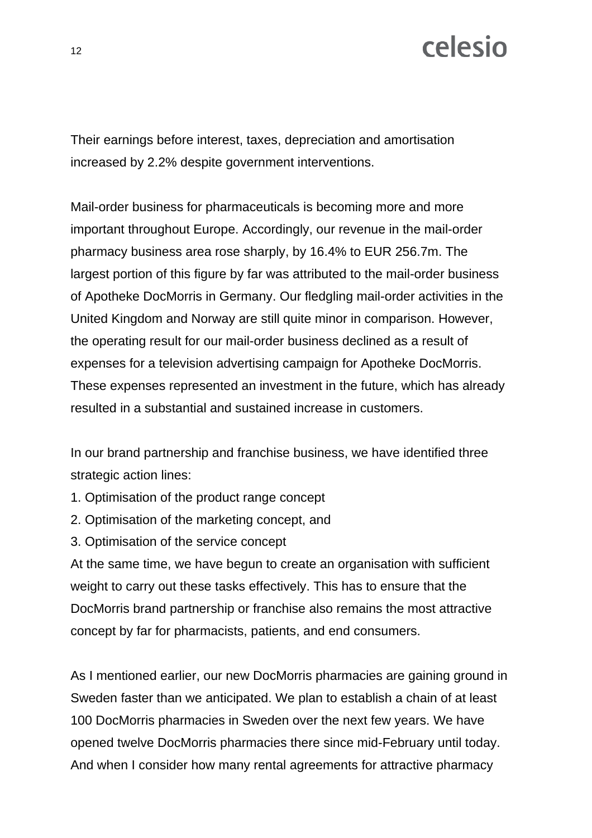Their earnings before interest, taxes, depreciation and amortisation increased by 2.2% despite government interventions.

Mail-order business for pharmaceuticals is becoming more and more important throughout Europe. Accordingly, our revenue in the mail-order pharmacy business area rose sharply, by 16.4% to EUR 256.7m. The largest portion of this figure by far was attributed to the mail-order business of Apotheke DocMorris in Germany. Our fledgling mail-order activities in the United Kingdom and Norway are still quite minor in comparison. However, the operating result for our mail-order business declined as a result of expenses for a television advertising campaign for Apotheke DocMorris. These expenses represented an investment in the future, which has already resulted in a substantial and sustained increase in customers.

In our brand partnership and franchise business, we have identified three strategic action lines:

- 1. Optimisation of the product range concept
- 2. Optimisation of the marketing concept, and
- 3. Optimisation of the service concept

At the same time, we have begun to create an organisation with sufficient weight to carry out these tasks effectively. This has to ensure that the DocMorris brand partnership or franchise also remains the most attractive concept by far for pharmacists, patients, and end consumers.

As I mentioned earlier, our new DocMorris pharmacies are gaining ground in Sweden faster than we anticipated. We plan to establish a chain of at least 100 DocMorris pharmacies in Sweden over the next few years. We have opened twelve DocMorris pharmacies there since mid-February until today. And when I consider how many rental agreements for attractive pharmacy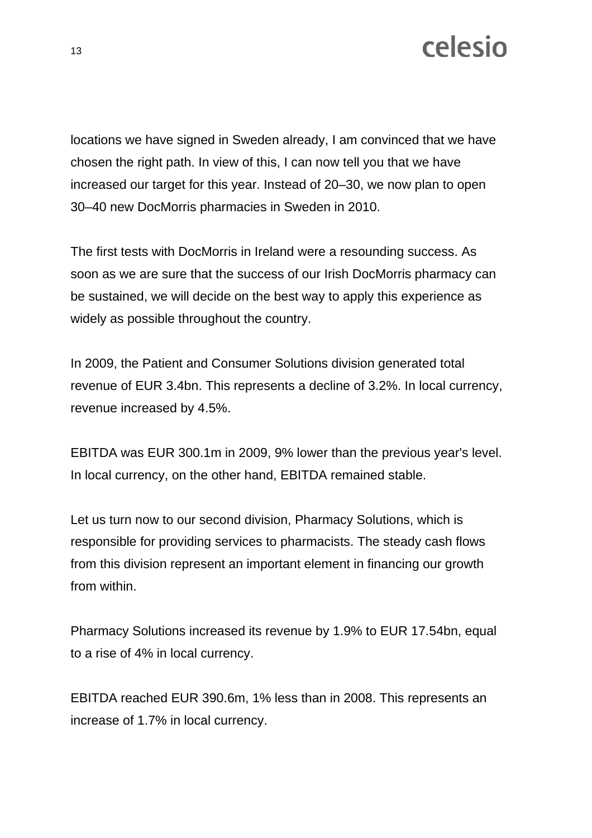locations we have signed in Sweden already, I am convinced that we have chosen the right path. In view of this, I can now tell you that we have increased our target for this year. Instead of 20–30, we now plan to open 30–40 new DocMorris pharmacies in Sweden in 2010.

The first tests with DocMorris in Ireland were a resounding success. As soon as we are sure that the success of our Irish DocMorris pharmacy can be sustained, we will decide on the best way to apply this experience as widely as possible throughout the country.

In 2009, the Patient and Consumer Solutions division generated total revenue of EUR 3.4bn. This represents a decline of 3.2%. In local currency, revenue increased by 4.5%.

EBITDA was EUR 300.1m in 2009, 9% lower than the previous year's level. In local currency, on the other hand, EBITDA remained stable.

Let us turn now to our second division, Pharmacy Solutions, which is responsible for providing services to pharmacists. The steady cash flows from this division represent an important element in financing our growth from within.

Pharmacy Solutions increased its revenue by 1.9% to EUR 17.54bn, equal to a rise of 4% in local currency.

EBITDA reached EUR 390.6m, 1% less than in 2008. This represents an increase of 1.7% in local currency.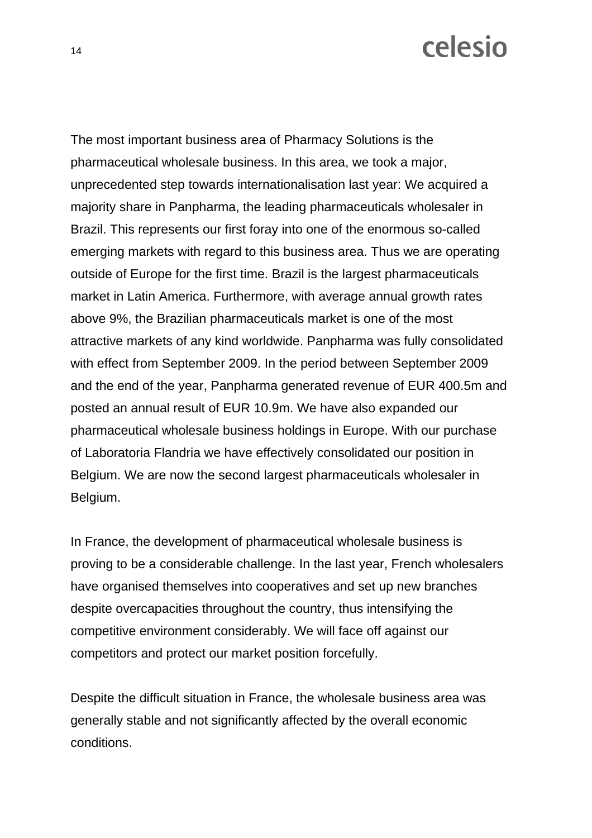The most important business area of Pharmacy Solutions is the pharmaceutical wholesale business. In this area, we took a major, unprecedented step towards internationalisation last year: We acquired a majority share in Panpharma, the leading pharmaceuticals wholesaler in Brazil. This represents our first foray into one of the enormous so-called emerging markets with regard to this business area. Thus we are operating outside of Europe for the first time. Brazil is the largest pharmaceuticals market in Latin America. Furthermore, with average annual growth rates above 9%, the Brazilian pharmaceuticals market is one of the most attractive markets of any kind worldwide. Panpharma was fully consolidated with effect from September 2009. In the period between September 2009 and the end of the year, Panpharma generated revenue of EUR 400.5m and posted an annual result of EUR 10.9m. We have also expanded our pharmaceutical wholesale business holdings in Europe. With our purchase of Laboratoria Flandria we have effectively consolidated our position in Belgium. We are now the second largest pharmaceuticals wholesaler in Belgium.

In France, the development of pharmaceutical wholesale business is proving to be a considerable challenge. In the last year, French wholesalers have organised themselves into cooperatives and set up new branches despite overcapacities throughout the country, thus intensifying the competitive environment considerably. We will face off against our competitors and protect our market position forcefully.

Despite the difficult situation in France, the wholesale business area was generally stable and not significantly affected by the overall economic conditions.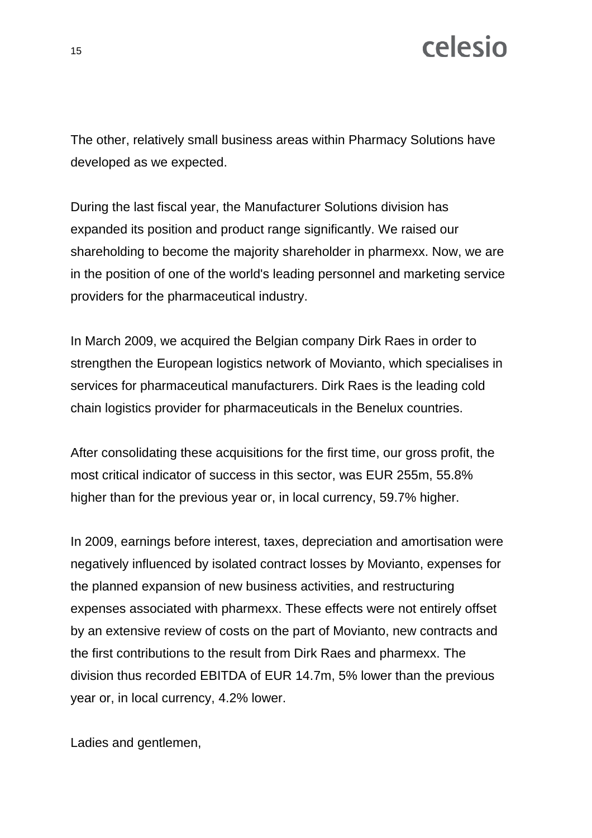The other, relatively small business areas within Pharmacy Solutions have developed as we expected.

During the last fiscal year, the Manufacturer Solutions division has expanded its position and product range significantly. We raised our shareholding to become the majority shareholder in pharmexx. Now, we are in the position of one of the world's leading personnel and marketing service providers for the pharmaceutical industry.

In March 2009, we acquired the Belgian company Dirk Raes in order to strengthen the European logistics network of Movianto, which specialises in services for pharmaceutical manufacturers. Dirk Raes is the leading cold chain logistics provider for pharmaceuticals in the Benelux countries.

After consolidating these acquisitions for the first time, our gross profit, the most critical indicator of success in this sector, was EUR 255m, 55.8% higher than for the previous year or, in local currency, 59.7% higher.

In 2009, earnings before interest, taxes, depreciation and amortisation were negatively influenced by isolated contract losses by Movianto, expenses for the planned expansion of new business activities, and restructuring expenses associated with pharmexx. These effects were not entirely offset by an extensive review of costs on the part of Movianto, new contracts and the first contributions to the result from Dirk Raes and pharmexx. The division thus recorded EBITDA of EUR 14.7m, 5% lower than the previous year or, in local currency, 4.2% lower.

Ladies and gentlemen,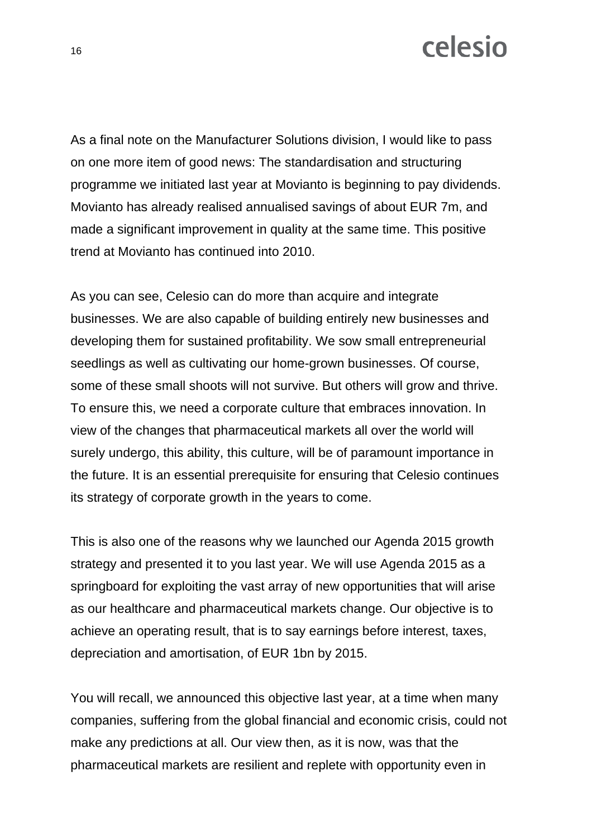As a final note on the Manufacturer Solutions division, I would like to pass on one more item of good news: The standardisation and structuring programme we initiated last year at Movianto is beginning to pay dividends. Movianto has already realised annualised savings of about EUR 7m, and made a significant improvement in quality at the same time. This positive trend at Movianto has continued into 2010.

As you can see, Celesio can do more than acquire and integrate businesses. We are also capable of building entirely new businesses and developing them for sustained profitability. We sow small entrepreneurial seedlings as well as cultivating our home-grown businesses. Of course, some of these small shoots will not survive. But others will grow and thrive. To ensure this, we need a corporate culture that embraces innovation. In view of the changes that pharmaceutical markets all over the world will surely undergo, this ability, this culture, will be of paramount importance in the future. It is an essential prerequisite for ensuring that Celesio continues its strategy of corporate growth in the years to come.

This is also one of the reasons why we launched our Agenda 2015 growth strategy and presented it to you last year. We will use Agenda 2015 as a springboard for exploiting the vast array of new opportunities that will arise as our healthcare and pharmaceutical markets change. Our objective is to achieve an operating result, that is to say earnings before interest, taxes, depreciation and amortisation, of EUR 1bn by 2015.

You will recall, we announced this objective last year, at a time when many companies, suffering from the global financial and economic crisis, could not make any predictions at all. Our view then, as it is now, was that the pharmaceutical markets are resilient and replete with opportunity even in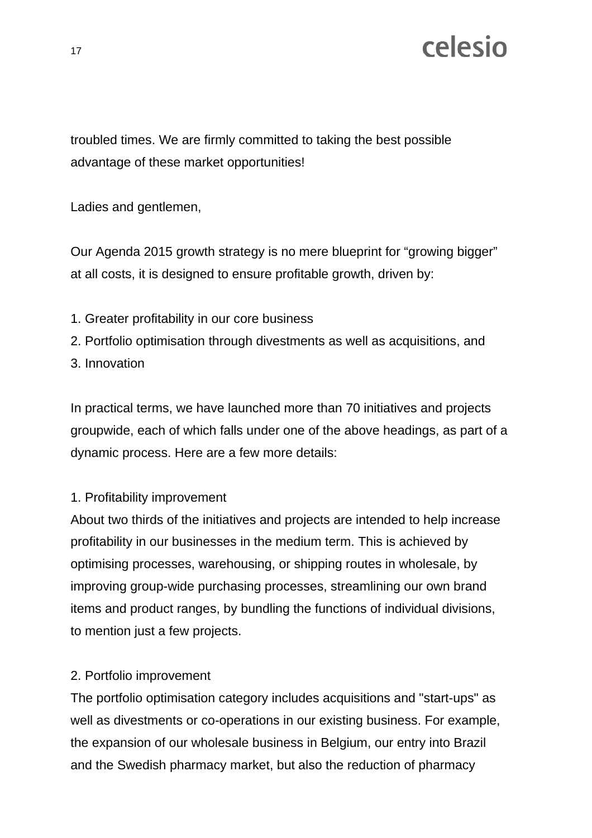troubled times. We are firmly committed to taking the best possible advantage of these market opportunities!

Ladies and gentlemen,

Our Agenda 2015 growth strategy is no mere blueprint for "growing bigger" at all costs, it is designed to ensure profitable growth, driven by:

- 1. Greater profitability in our core business
- 2. Portfolio optimisation through divestments as well as acquisitions, and
- 3. Innovation

In practical terms, we have launched more than 70 initiatives and projects groupwide, each of which falls under one of the above headings, as part of a dynamic process. Here are a few more details:

#### 1. Profitability improvement

About two thirds of the initiatives and projects are intended to help increase profitability in our businesses in the medium term. This is achieved by optimising processes, warehousing, or shipping routes in wholesale, by improving group-wide purchasing processes, streamlining our own brand items and product ranges, by bundling the functions of individual divisions, to mention just a few projects.

#### 2. Portfolio improvement

The portfolio optimisation category includes acquisitions and "start-ups" as well as divestments or co-operations in our existing business. For example, the expansion of our wholesale business in Belgium, our entry into Brazil and the Swedish pharmacy market, but also the reduction of pharmacy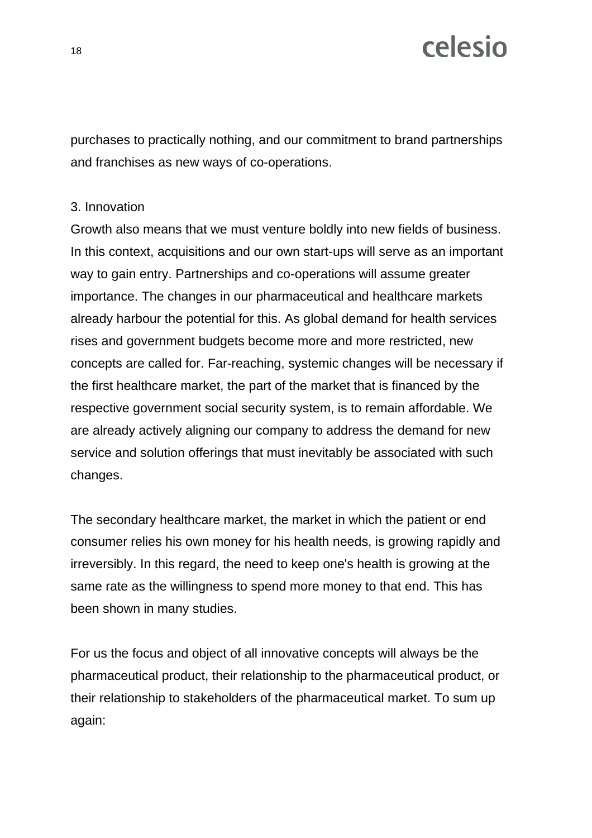purchases to practically nothing, and our commitment to brand partnerships and franchises as new ways of co-operations.

#### 3. Innovation

Growth also means that we must venture boldly into new fields of business. In this context, acquisitions and our own start-ups will serve as an important way to gain entry. Partnerships and co-operations will assume greater importance. The changes in our pharmaceutical and healthcare markets already harbour the potential for this. As global demand for health services rises and government budgets become more and more restricted, new concepts are called for. Far-reaching, systemic changes will be necessary if the first healthcare market, the part of the market that is financed by the respective government social security system, is to remain affordable. We are already actively aligning our company to address the demand for new service and solution offerings that must inevitably be associated with such changes.

The secondary healthcare market, the market in which the patient or end consumer relies his own money for his health needs, is growing rapidly and irreversibly. In this regard, the need to keep one's health is growing at the same rate as the willingness to spend more money to that end. This has been shown in many studies.

For us the focus and object of all innovative concepts will always be the pharmaceutical product, their relationship to the pharmaceutical product, or their relationship to stakeholders of the pharmaceutical market. To sum up again: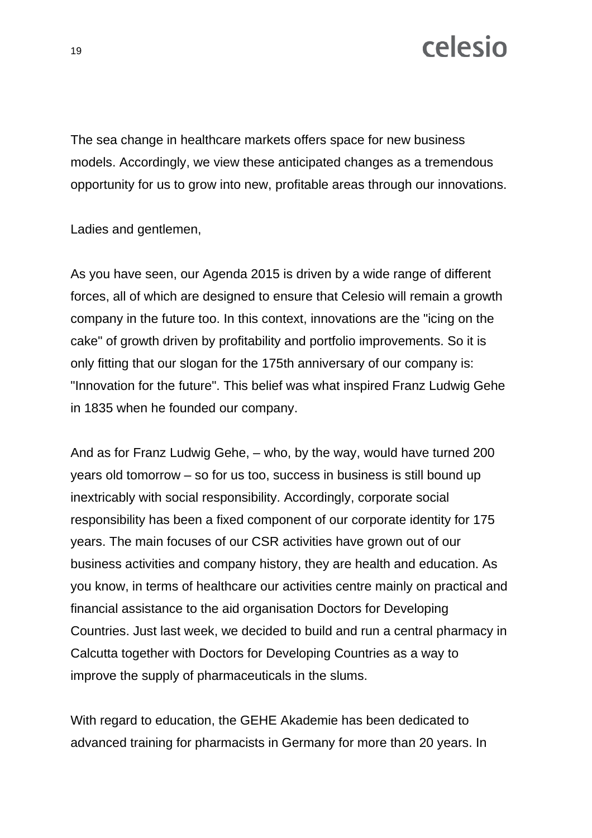The sea change in healthcare markets offers space for new business models. Accordingly, we view these anticipated changes as a tremendous opportunity for us to grow into new, profitable areas through our innovations.

Ladies and gentlemen,

As you have seen, our Agenda 2015 is driven by a wide range of different forces, all of which are designed to ensure that Celesio will remain a growth company in the future too. In this context, innovations are the "icing on the cake" of growth driven by profitability and portfolio improvements. So it is only fitting that our slogan for the 175th anniversary of our company is: "Innovation for the future". This belief was what inspired Franz Ludwig Gehe in 1835 when he founded our company.

And as for Franz Ludwig Gehe, – who, by the way, would have turned 200 years old tomorrow – so for us too, success in business is still bound up inextricably with social responsibility. Accordingly, corporate social responsibility has been a fixed component of our corporate identity for 175 years. The main focuses of our CSR activities have grown out of our business activities and company history, they are health and education. As you know, in terms of healthcare our activities centre mainly on practical and financial assistance to the aid organisation Doctors for Developing Countries. Just last week, we decided to build and run a central pharmacy in Calcutta together with Doctors for Developing Countries as a way to improve the supply of pharmaceuticals in the slums.

With regard to education, the GEHE Akademie has been dedicated to advanced training for pharmacists in Germany for more than 20 years. In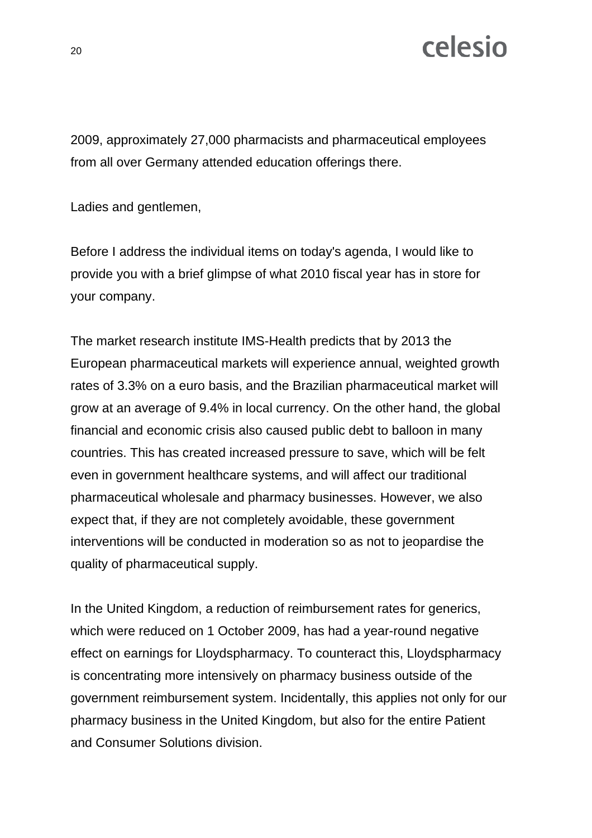2009, approximately 27,000 pharmacists and pharmaceutical employees from all over Germany attended education offerings there.

Ladies and gentlemen,

Before I address the individual items on today's agenda, I would like to provide you with a brief glimpse of what 2010 fiscal year has in store for your company.

The market research institute IMS-Health predicts that by 2013 the European pharmaceutical markets will experience annual, weighted growth rates of 3.3% on a euro basis, and the Brazilian pharmaceutical market will grow at an average of 9.4% in local currency. On the other hand, the global financial and economic crisis also caused public debt to balloon in many countries. This has created increased pressure to save, which will be felt even in government healthcare systems, and will affect our traditional pharmaceutical wholesale and pharmacy businesses. However, we also expect that, if they are not completely avoidable, these government interventions will be conducted in moderation so as not to jeopardise the quality of pharmaceutical supply.

In the United Kingdom, a reduction of reimbursement rates for generics, which were reduced on 1 October 2009, has had a year-round negative effect on earnings for Lloydspharmacy. To counteract this, Lloydspharmacy is concentrating more intensively on pharmacy business outside of the government reimbursement system. Incidentally, this applies not only for our pharmacy business in the United Kingdom, but also for the entire Patient and Consumer Solutions division.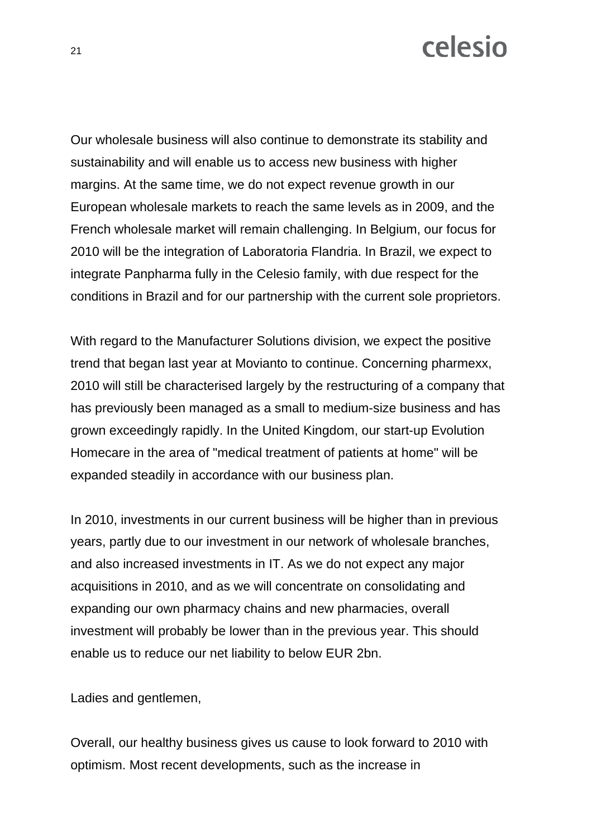Our wholesale business will also continue to demonstrate its stability and sustainability and will enable us to access new business with higher margins. At the same time, we do not expect revenue growth in our European wholesale markets to reach the same levels as in 2009, and the French wholesale market will remain challenging. In Belgium, our focus for 2010 will be the integration of Laboratoria Flandria. In Brazil, we expect to integrate Panpharma fully in the Celesio family, with due respect for the conditions in Brazil and for our partnership with the current sole proprietors.

With regard to the Manufacturer Solutions division, we expect the positive trend that began last year at Movianto to continue. Concerning pharmexx, 2010 will still be characterised largely by the restructuring of a company that has previously been managed as a small to medium-size business and has grown exceedingly rapidly. In the United Kingdom, our start-up Evolution Homecare in the area of "medical treatment of patients at home" will be expanded steadily in accordance with our business plan.

In 2010, investments in our current business will be higher than in previous years, partly due to our investment in our network of wholesale branches, and also increased investments in IT. As we do not expect any major acquisitions in 2010, and as we will concentrate on consolidating and expanding our own pharmacy chains and new pharmacies, overall investment will probably be lower than in the previous year. This should enable us to reduce our net liability to below EUR 2bn.

Ladies and gentlemen,

Overall, our healthy business gives us cause to look forward to 2010 with optimism. Most recent developments, such as the increase in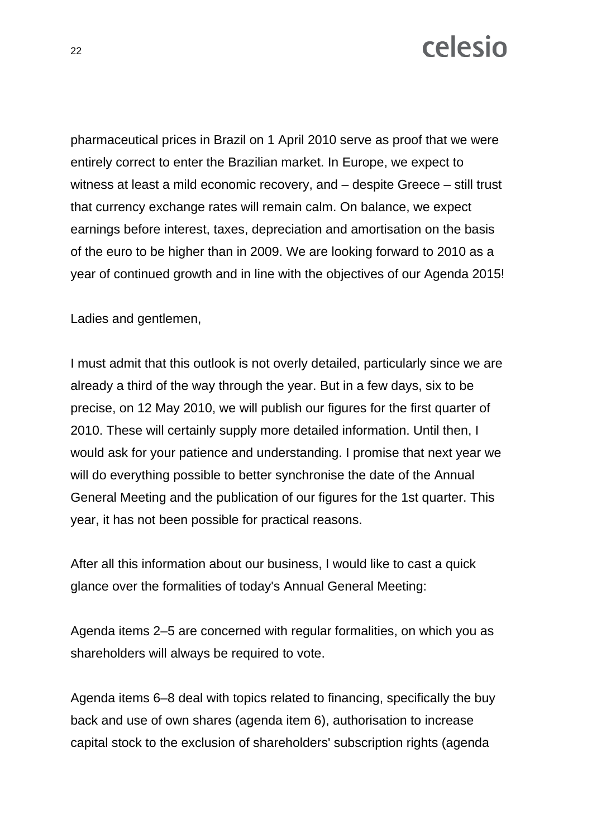pharmaceutical prices in Brazil on 1 April 2010 serve as proof that we were entirely correct to enter the Brazilian market. In Europe, we expect to witness at least a mild economic recovery, and – despite Greece – still trust that currency exchange rates will remain calm. On balance, we expect earnings before interest, taxes, depreciation and amortisation on the basis of the euro to be higher than in 2009. We are looking forward to 2010 as a year of continued growth and in line with the objectives of our Agenda 2015!

Ladies and gentlemen,

I must admit that this outlook is not overly detailed, particularly since we are already a third of the way through the year. But in a few days, six to be precise, on 12 May 2010, we will publish our figures for the first quarter of 2010. These will certainly supply more detailed information. Until then, I would ask for your patience and understanding. I promise that next year we will do everything possible to better synchronise the date of the Annual General Meeting and the publication of our figures for the 1st quarter. This year, it has not been possible for practical reasons.

After all this information about our business, I would like to cast a quick glance over the formalities of today's Annual General Meeting:

Agenda items 2–5 are concerned with regular formalities, on which you as shareholders will always be required to vote.

Agenda items 6–8 deal with topics related to financing, specifically the buy back and use of own shares (agenda item 6), authorisation to increase capital stock to the exclusion of shareholders' subscription rights (agenda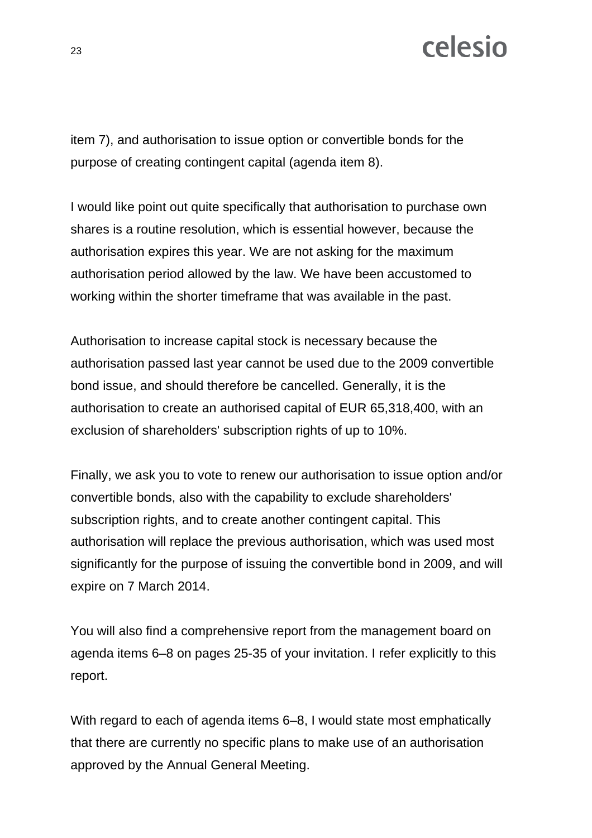item 7), and authorisation to issue option or convertible bonds for the purpose of creating contingent capital (agenda item 8).

I would like point out quite specifically that authorisation to purchase own shares is a routine resolution, which is essential however, because the authorisation expires this year. We are not asking for the maximum authorisation period allowed by the law. We have been accustomed to working within the shorter timeframe that was available in the past.

Authorisation to increase capital stock is necessary because the authorisation passed last year cannot be used due to the 2009 convertible bond issue, and should therefore be cancelled. Generally, it is the authorisation to create an authorised capital of EUR 65,318,400, with an exclusion of shareholders' subscription rights of up to 10%.

Finally, we ask you to vote to renew our authorisation to issue option and/or convertible bonds, also with the capability to exclude shareholders' subscription rights, and to create another contingent capital. This authorisation will replace the previous authorisation, which was used most significantly for the purpose of issuing the convertible bond in 2009, and will expire on 7 March 2014.

You will also find a comprehensive report from the management board on agenda items 6–8 on pages 25-35 of your invitation. I refer explicitly to this report.

With regard to each of agenda items 6–8, I would state most emphatically that there are currently no specific plans to make use of an authorisation approved by the Annual General Meeting.